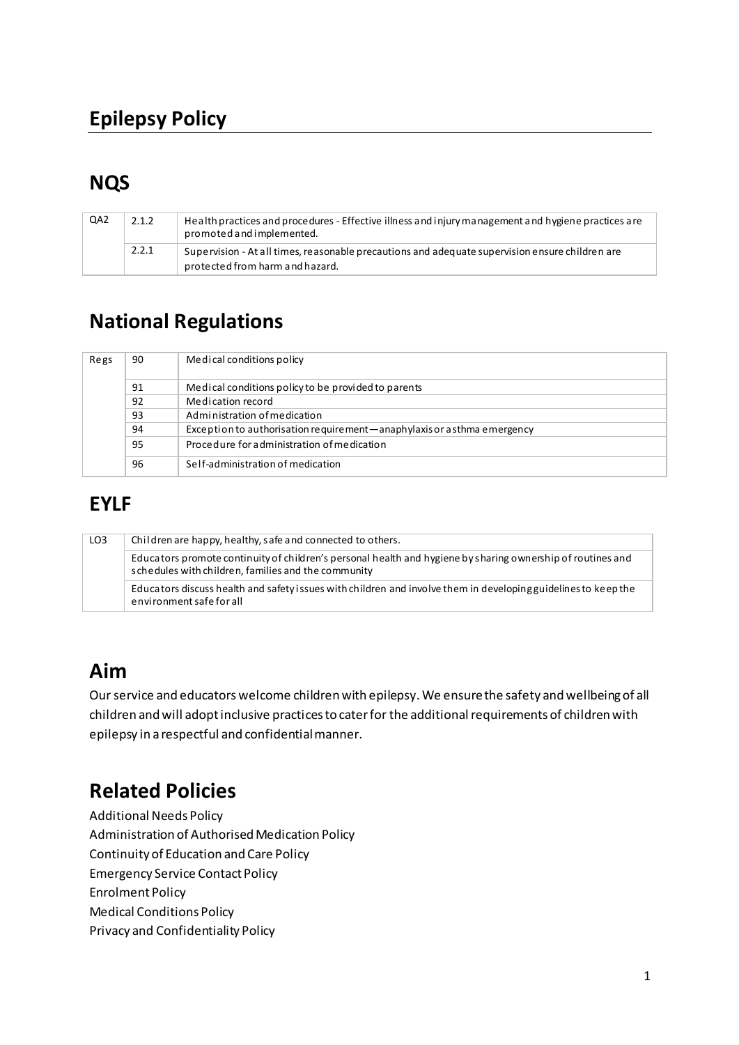## **NQS**

| QA <sub>2</sub> | 2.1.2 | Health practices and procedures - Effective illness and injury management and hygiene practices are<br>promoted and implemented.   |
|-----------------|-------|------------------------------------------------------------------------------------------------------------------------------------|
|                 | 2.2.1 | Supervision - At all times, reasonable precautions and adequate supervision ensure children are<br>protected from harm and hazard. |

## **National Regulations**

| Regs | 90 | Medical conditions policy                                                |
|------|----|--------------------------------------------------------------------------|
|      | 91 | Medical conditions policy to be provided to parents                      |
|      | 92 | Medication record                                                        |
|      | 93 | Administration of medication                                             |
|      | 94 | Exception to authorisation requirement - anaphylaxis or asthma emergency |
|      | 95 | Procedure for administration of medication                               |
|      | 96 | Self-administration of medication                                        |

# **EYLF**

| LO <sub>3</sub> | Children are happy, healthy, safe and connected to others.                                                                                                         |  |  |
|-----------------|--------------------------------------------------------------------------------------------------------------------------------------------------------------------|--|--|
|                 | Educators promote continuity of children's personal health and hygiene by sharing ownership of routines and<br>schedules with children, families and the community |  |  |
|                 | Educators discuss health and safety issues with children and involve them in developing guidelines to keep the<br>environment safe for all                         |  |  |

### **Aim**

Our service and educators welcome children with epilepsy. We ensure the safety and wellbeing of all children and will adopt inclusive practices to cater for the additional requirements of children with epilepsy in a respectful and confidential manner.

## **Related Policies**

Additional Needs Policy Administration of Authorised Medication Policy Continuity of Education and Care Policy Emergency Service Contact Policy Enrolment Policy Medical Conditions Policy Privacy and Confidentiality Policy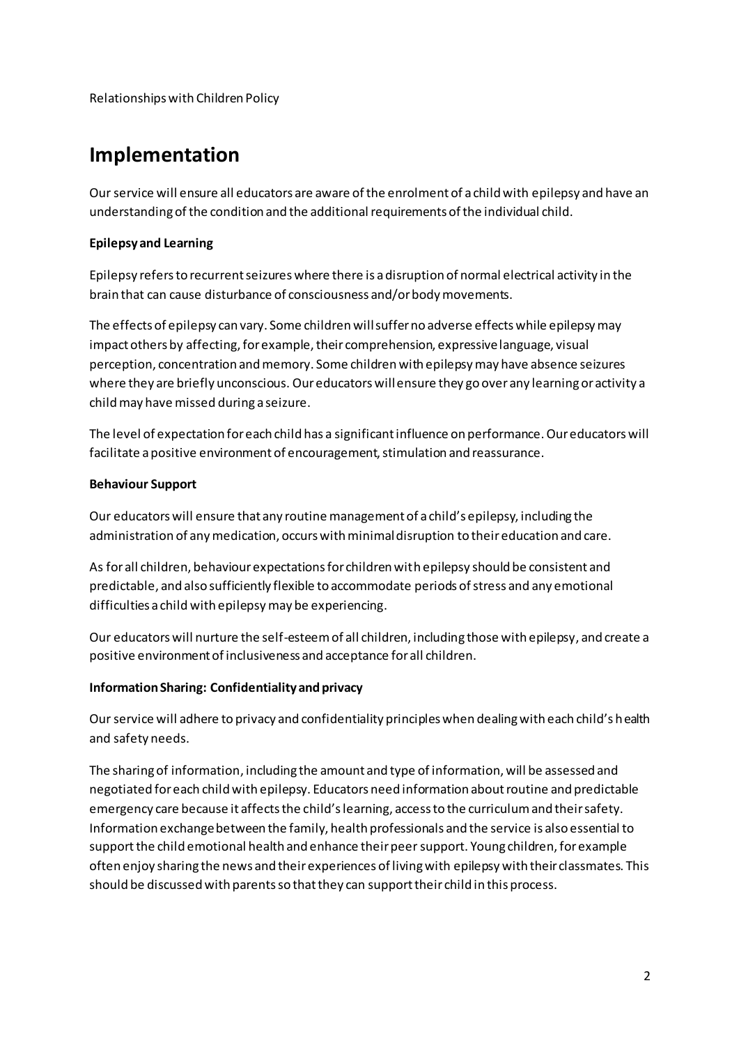Relationships with Children Policy

### **Implementation**

Our service will ensure all educators are aware of the enrolment of a child with epilepsy and have an understanding of the condition and the additional requirements of the individual child.

#### **Epilepsy and Learning**

Epilepsy refers to recurrent seizures where there is a disruption of normal electrical activity in the brain that can cause disturbance of consciousness and/or body movements.

The effects of epilepsy can vary. Some children will suffer no adverse effects while epilepsy may impact others by affecting, for example, their comprehension, expressive language, visual perception, concentration and memory. Some children with epilepsy may have absence seizures where they are briefly unconscious. Our educators will ensure they go over any learning or activity a child may have missed during a seizure.

The level of expectation for each child has a significant influence on performance. Our educators will facilitate a positive environment of encouragement, stimulation and reassurance.

#### **Behaviour Support**

Our educators will ensure that any routine management of a child's epilepsy, including the administration of any medication, occurs with minimal disruption to their education and care.

As for all children, behaviour expectations for children with epilepsy should be consistent and predictable, and also sufficiently flexible to accommodate periods of stress and any emotional difficulties a child with epilepsy may be experiencing.

Our educators will nurture the self-esteem of all children, including those with epilepsy, and create a positive environment of inclusiveness and acceptance for all children.

#### **Information Sharing: Confidentiality and privacy**

Our service will adhere to privacy and confidentiality principles when dealing with each child's health and safety needs.

The sharing of information, including the amount and type of information, will be assessed and negotiated for each child with epilepsy. Educators need information about routine and predictable emergency care because it affects the child's learning, access to the curriculum and their safety. Information exchange between the family, health professionals and the service is also essential to support the child emotional health and enhance their peer support. Young children, for example often enjoy sharing the news and their experiences of living with epilepsy with their classmates. This should be discussed with parents so that they can support their child in this process.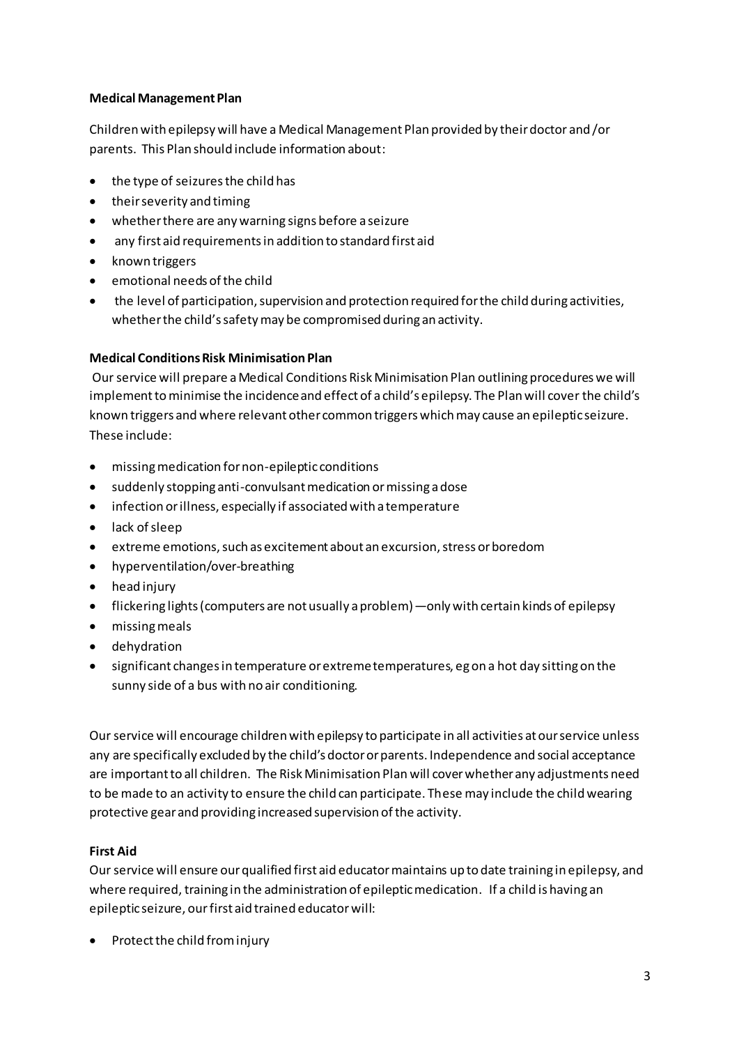#### **Medical Management Plan**

Children with epilepsy will have a Medical Management Plan provided by their doctor and /or parents. This Plan should include information about:

- the type of seizures the child has
- $\bullet$  their severity and timing
- whether there are any warning signs before a seizure
- any first aid requirements in addition to standard first aid
- known triggers
- $\bullet$  emotional needs of the child
- the level of participation, supervision and protection required for the child during activities, whether the child's safety may be compromised during an activity.

#### **Medical Conditions Risk Minimisation Plan**

Our service will prepare a Medical Conditions Risk Minimisation Plan outlining procedures we will implement to minimise the incidence and effect of a child's epilepsy. The Plan will cover the child's known triggers and where relevant other common triggers which may cause an epileptic seizure. These include:

- missing medication for non-epileptic conditions
- suddenly stopping anti-convulsant medication or missing a dose
- infection or illness, especially if associated with a temperature
- $\bullet$  lack of sleep
- extreme emotions, such as excitement about an excursion, stress or boredom
- hyperventilation/over-breathing
- $\bullet$  head injury
- flickering lights (computers are not usually a problem) —only with certain kinds of epilepsy
- missing meals
- dehydration
- significant changes in temperature or extreme temperatures, eg on a hot day sitting on the sunny side of a bus with no air conditioning.

Our service will encourage children with epilepsy to participate in all activities at our service unless any are specifically excluded by the child's doctor or parents. Independence and social acceptance are important to all children. The Risk Minimisation Plan will cover whether any adjustments need to be made to an activity to ensure the child can participate. These may include the child wearing protective gear and providing increased supervision of the activity.

#### **First Aid**

Our service will ensure our qualified first aid educator maintains up to date training in epilepsy, and where required, training in the administration of epileptic medication. If a child is having an epileptic seizure, our first aid trained educator will:

• Protect the child from injury